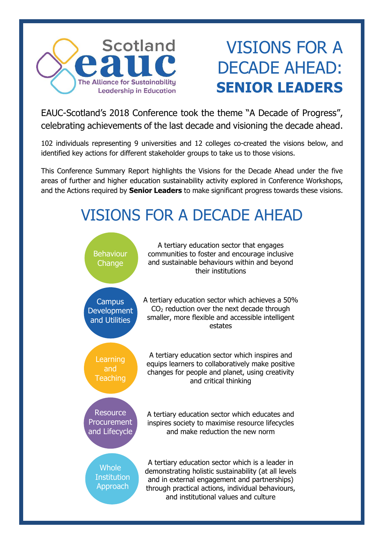

# VISIONS FOR A DECADE AHEAD: **SENIOR LEADERS**

EAUC-Scotland's 2018 Conference took the theme "A Decade of Progress", celebrating achievements of the last decade and visioning the decade ahead.

102 individuals representing 9 universities and 12 colleges co-created the visions below, and identified key actions for different stakeholder groups to take us to those visions.

This Conference Summary Report highlights the Visions for the Decade Ahead under the five areas of further and higher education sustainability activity explored in Conference Workshops, and the Actions required by **Senior Leaders** to make significant progress towards these visions.

## VISIONS FOR A DECADE AHEAD